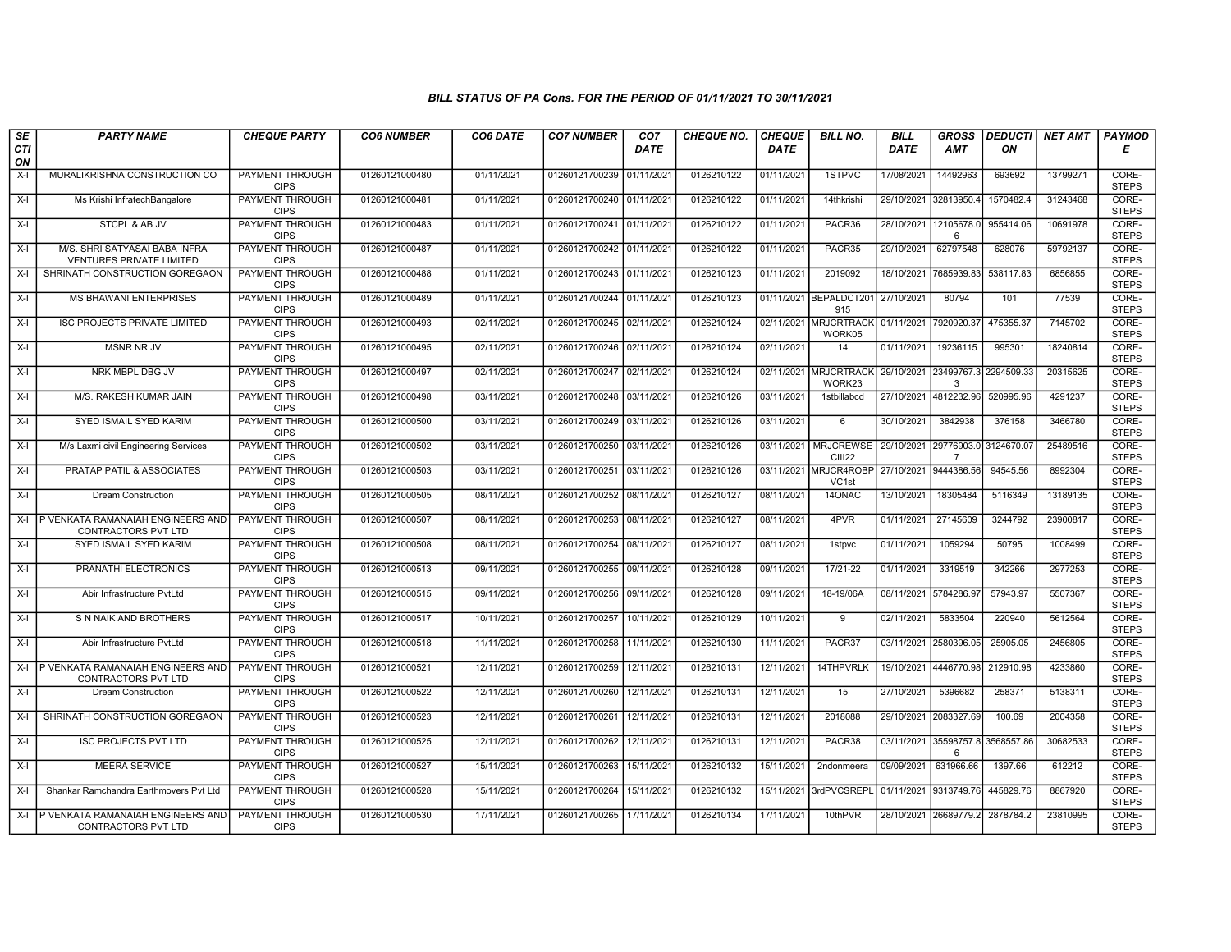## BILL STATUS OF PA Cons. FOR THE PERIOD OF 01/11/2021 TO 30/11/2021

| SE        | <b>PARTY NAME</b>                                                | <b>CHEQUE PARTY</b>                   | <b>CO6 NUMBER</b> | CO6 DATE   | <b>CO7 NUMBER</b>         | CO <sub>7</sub> | <b>CHEQUE NO.</b> | <b>CHEQUE</b> | <b>BILL NO.</b>                   | <b>BILL</b>           | <b>GROSS</b>          |            | <b>DEDUCTI NET AMT</b> | <b>PAYMOD</b>         |
|-----------|------------------------------------------------------------------|---------------------------------------|-------------------|------------|---------------------------|-----------------|-------------------|---------------|-----------------------------------|-----------------------|-----------------------|------------|------------------------|-----------------------|
| CTI<br>ON |                                                                  |                                       |                   |            |                           | <b>DATE</b>     |                   | <b>DATE</b>   |                                   | <b>DATE</b>           | <b>AMT</b>            | ON         |                        | Е                     |
| $X-I$     | MURALIKRISHNA CONSTRUCTION CO                                    | PAYMENT THROUGH<br><b>CIPS</b>        | 01260121000480    | 01/11/2021 | 01260121700239 01/11/2021 |                 | 0126210122        | 01/11/2021    | 1STPVC                            | 17/08/2021            | 14492963              | 693692     | 13799271               | CORE-<br><b>STEPS</b> |
| $X-I$     | Ms Krishi InfratechBangalore                                     | <b>PAYMENT THROUGH</b><br><b>CIPS</b> | 01260121000481    | 01/11/2021 | 01260121700240 01/11/2021 |                 | 0126210122        | 01/11/2021    | 14thkrishi                        |                       | 29/10/2021 32813950.4 | 1570482.4  | 31243468               | CORE-<br><b>STEPS</b> |
| $X-I$     | STCPL & AB JV                                                    | PAYMENT THROUGH<br><b>CIPS</b>        | 01260121000483    | 01/11/2021 | 01260121700241 01/11/2021 |                 | 0126210122        | 01/11/2021    | PACR36                            | 28/10/2021 12105678.  | 6                     | 955414.06  | 10691978               | CORE-<br><b>STEPS</b> |
| $X-I$     | M/S. SHRI SATYASAI BABA INFRA<br><b>VENTURES PRIVATE LIMITED</b> | PAYMENT THROUGH<br><b>CIPS</b>        | 01260121000487    | 01/11/2021 | 01260121700242 01/11/2021 |                 | 0126210122        | 01/11/2021    | PACR35                            | 29/10/2021            | 62797548              | 628076     | 59792137               | CORE-<br><b>STEPS</b> |
| $X-I$     | SHRINATH CONSTRUCTION GOREGAON                                   | <b>PAYMENT THROUGH</b><br><b>CIPS</b> | 01260121000488    | 01/11/2021 | 01260121700243 01/11/2021 |                 | 0126210123        | 01/11/2021    | 2019092                           | 18/10/2021            | 7685939.83            | 538117.83  | 6856855                | CORE-<br><b>STEPS</b> |
| $X-I$     | <b>MS BHAWANI ENTERPRISES</b>                                    | <b>PAYMENT THROUGH</b><br><b>CIPS</b> | 01260121000489    | 01/11/2021 | 01260121700244 01/11/2021 |                 | 0126210123        |               | 01/11/2021 BEPALDCT201<br>915     | 27/10/2021            | 80794                 | 101        | 77539                  | CORE-<br><b>STEPS</b> |
| $X-I$     | <b>ISC PROJECTS PRIVATE LIMITED</b>                              | <b>PAYMENT THROUGH</b><br><b>CIPS</b> | 01260121000493    | 02/11/2021 | 01260121700245 02/11/2021 |                 | 0126210124        | 02/11/2021    | <b>MRJCRTRACK</b><br>WORK05       | 01/11/2021            | 7920920.37            | 475355.37  | 7145702                | CORE-<br><b>STEPS</b> |
| $X-I$     | <b>MSNR NR JV</b>                                                | PAYMENT THROUGH<br><b>CIPS</b>        | 01260121000495    | 02/11/2021 | 01260121700246 02/11/2021 |                 | 0126210124        | 02/11/2021    | 14                                | 01/11/2021            | 19236115              | 995301     | 18240814               | CORE-<br><b>STEPS</b> |
| $X-I$     | NRK MBPL DBG JV                                                  | <b>PAYMENT THROUGH</b><br><b>CIPS</b> | 01260121000497    | 02/11/2021 | 01260121700247 02/11/2021 |                 | 0126210124        | 02/11/2021    | <b>MRJCRTRACK</b><br>WORK23       | 29/10/2021            | 23499767.3<br>3       | 2294509.33 | 20315625               | CORE-<br><b>STEPS</b> |
| $X-I$     | M/S. RAKESH KUMAR JAIN                                           | <b>PAYMENT THROUGH</b><br><b>CIPS</b> | 01260121000498    | 03/11/2021 | 01260121700248 03/11/2021 |                 | 0126210126        | 03/11/2021    | 1stbillabcd                       |                       | 27/10/2021 4812232.96 | 520995.96  | 4291237                | CORE-<br><b>STEPS</b> |
| $X-I$     | SYED ISMAIL SYED KARIM                                           | PAYMENT THROUGH<br><b>CIPS</b>        | 01260121000500    | 03/11/2021 | 01260121700249 03/11/2021 |                 | 0126210126        | 03/11/2021    | 6                                 | 30/10/2021            | 3842938               | 376158     | 3466780                | CORE-<br><b>STEPS</b> |
| $X-I$     | M/s Laxmi civil Engineering Services                             | <b>PAYMENT THROUGH</b><br><b>CIPS</b> | 01260121000502    | 03/11/2021 | 01260121700250 03/11/2021 |                 | 0126210126        | 03/11/2021    | <b>MRJCREWSE</b><br><b>CIII22</b> | 29/10/2021            | 29776903.0            | 3124670.07 | 25489516               | CORE-<br><b>STEPS</b> |
| $X-I$     | PRATAP PATIL & ASSOCIATES                                        | <b>PAYMENT THROUGH</b><br><b>CIPS</b> | 01260121000503    | 03/11/2021 | 01260121700251 03/11/2021 |                 | 0126210126        | 03/11/2021    | MRJCR4ROBP<br>VC1st               |                       | 27/10/2021 9444386.56 | 94545.56   | 8992304                | CORE-<br><b>STEPS</b> |
| $X-I$     | <b>Dream Construction</b>                                        | <b>PAYMENT THROUGH</b><br><b>CIPS</b> | 01260121000505    | 08/11/2021 | 01260121700252 08/11/2021 |                 | 0126210127        | 08/11/2021    | 14ONAC                            | 13/10/2021            | 18305484              | 5116349    | 13189135               | CORE-<br><b>STEPS</b> |
|           | X-I P VENKATA RAMANAIAH ENGINEERS AND<br>CONTRACTORS PVT LTD     | PAYMENT THROUGH<br><b>CIPS</b>        | 01260121000507    | 08/11/2021 | 01260121700253 08/11/2021 |                 | 0126210127        | 08/11/2021    | 4PVR                              | 01/11/2021            | 27145609              | 3244792    | 23900817               | CORE-<br><b>STEPS</b> |
| $X-I$     | SYED ISMAIL SYED KARIM                                           | <b>PAYMENT THROUGH</b><br><b>CIPS</b> | 01260121000508    | 08/11/2021 | 01260121700254 08/11/2021 |                 | 0126210127        | 08/11/2021    | 1stpvc                            | 01/11/2021            | 1059294               | 50795      | 1008499                | CORE-<br><b>STEPS</b> |
| $X-I$     | PRANATHI ELECTRONICS                                             | PAYMENT THROUGH<br><b>CIPS</b>        | 01260121000513    | 09/11/2021 | 01260121700255 09/11/2021 |                 | 0126210128        | 09/11/2021    | 17/21-22                          | 01/11/2021            | 3319519               | 342266     | 2977253                | CORE-<br><b>STEPS</b> |
| $X-I$     | Abir Infrastructure PvtLtd                                       | <b>PAYMENT THROUGH</b><br><b>CIPS</b> | 01260121000515    | 09/11/2021 | 01260121700256 09/11/2021 |                 | 0126210128        | 09/11/2021    | 18-19/06A                         | 08/11/2021 5784286.97 |                       | 57943.97   | 5507367                | CORE-<br><b>STEPS</b> |
| $X-I$     | S N NAIK AND BROTHERS                                            | PAYMENT THROUGH<br><b>CIPS</b>        | 01260121000517    | 10/11/2021 | 01260121700257            | 10/11/2021      | 0126210129        | 10/11/2021    | 9                                 | 02/11/2021            | 5833504               | 220940     | 5612564                | CORE-<br><b>STEPS</b> |
| $X-I$     | Abir Infrastructure PvtLtd                                       | PAYMENT THROUGH<br><b>CIPS</b>        | 01260121000518    | 11/11/2021 | 01260121700258            | 11/11/2021      | 0126210130        | 11/11/2021    | PACR37                            | 03/11/2021            | 2580396.05            | 25905.05   | 2456805                | CORE-<br><b>STEPS</b> |
| X-I       | P VENKATA RAMANAIAH ENGINEERS AND<br>CONTRACTORS PVT LTD         | <b>PAYMENT THROUGH</b><br><b>CIPS</b> | 01260121000521    | 12/11/2021 | 01260121700259            | 12/11/2021      | 0126210131        | 12/11/2021    | 14THPVRLK                         |                       | 19/10/2021 4446770.98 | 212910.98  | 4233860                | CORE-<br><b>STEPS</b> |
| $X-I$     | <b>Dream Construction</b>                                        | <b>PAYMENT THROUGH</b><br><b>CIPS</b> | 01260121000522    | 12/11/2021 | 01260121700260            | 12/11/2021      | 0126210131        | 12/11/2021    | 15                                | 27/10/2021            | 5396682               | 258371     | 5138311                | CORE-<br><b>STEPS</b> |
| $X-I$     | SHRINATH CONSTRUCTION GOREGAON                                   | PAYMENT THROUGH<br><b>CIPS</b>        | 01260121000523    | 12/11/2021 | 01260121700261            | 12/11/2021      | 0126210131        | 12/11/2021    | 2018088                           |                       | 29/10/2021 2083327.69 | 100.69     | 2004358                | CORE-<br><b>STEPS</b> |
| $X-I$     | <b>ISC PROJECTS PVT LTD</b>                                      | <b>PAYMENT THROUGH</b><br><b>CIPS</b> | 01260121000525    | 12/11/2021 | 01260121700262            | 12/11/2021      | 0126210131        | 12/11/2021    | PACR38                            | 03/11/2021            | 35598757.8<br>6       | 3568557.86 | 30682533               | CORE-<br><b>STEPS</b> |
| $X-I$     | <b>MEERA SERVICE</b>                                             | PAYMENT THROUGH<br><b>CIPS</b>        | 01260121000527    | 15/11/2021 | 01260121700263 15/11/2021 |                 | 0126210132        | 15/11/2021    | 2ndonmeera                        | 09/09/2021            | 631966.66             | 1397.66    | 612212                 | CORE-<br><b>STEPS</b> |
| $X-I$     | Shankar Ramchandra Earthmovers Pvt Ltd                           | <b>PAYMENT THROUGH</b><br><b>CIPS</b> | 01260121000528    | 15/11/2021 | 01260121700264            | 15/11/2021      | 0126210132        | 15/11/2021    | 3rdPVCSREPL                       |                       | 01/11/2021 9313749.76 | 445829.76  | 8867920                | CORE-<br><b>STEPS</b> |
| $X-I$     | P VENKATA RAMANAIAH ENGINEERS AND<br>CONTRACTORS PVT LTD         | <b>PAYMENT THROUGH</b><br><b>CIPS</b> | 01260121000530    | 17/11/2021 | 01260121700265 17/11/2021 |                 | 0126210134        | 17/11/2021    | 10thPVR                           |                       | 28/10/2021 26689779.2 | 2878784.2  | 23810995               | CORE-<br><b>STEPS</b> |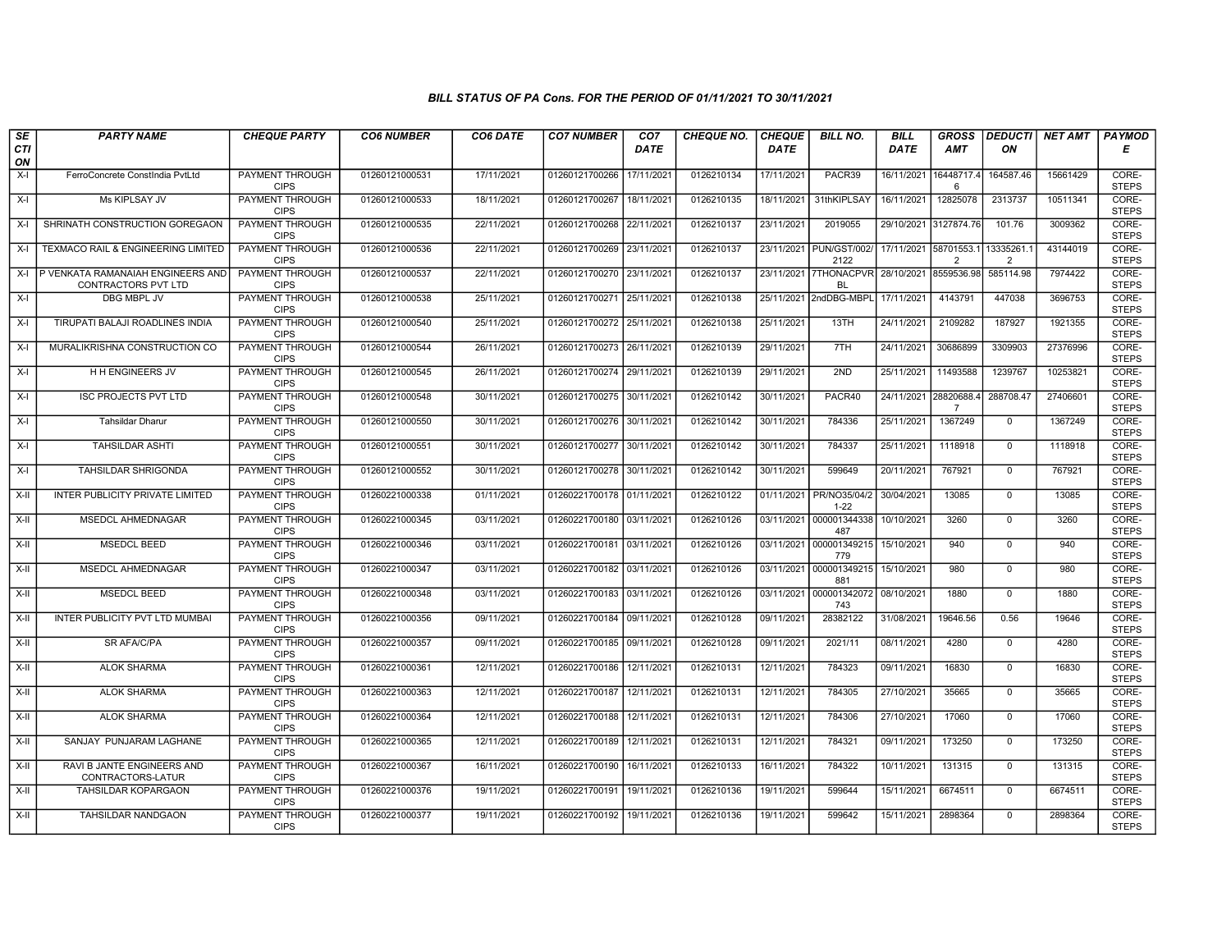## BILL STATUS OF PA Cons. FOR THE PERIOD OF 01/11/2021 TO 30/11/2021

| SE        | <b>PARTY NAME</b>                                        | <b>CHEQUE PARTY</b>                   | <b>CO6 NUMBER</b> | CO6 DATE   | <b>CO7 NUMBER</b>         | CO <sub>7</sub> | <b>CHEQUE NO.</b> | <b>CHEQUE</b> | <b>BILL NO.</b>                                          | <b>BILL</b> | <b>GROSS</b>                            |                | DEDUCTI  NET AMT | <b>PAYMOD</b>         |
|-----------|----------------------------------------------------------|---------------------------------------|-------------------|------------|---------------------------|-----------------|-------------------|---------------|----------------------------------------------------------|-------------|-----------------------------------------|----------------|------------------|-----------------------|
| CTI<br>ON |                                                          |                                       |                   |            |                           | <b>DATE</b>     |                   | <b>DATE</b>   |                                                          | <b>DATE</b> | <b>AMT</b>                              | ON             |                  | Е                     |
| $X-I$     | FerroConcrete ConstIndia PvtLtd                          | <b>PAYMENT THROUGH</b><br><b>CIPS</b> | 01260121000531    | 17/11/2021 | 01260121700266            | 17/11/2021      | 0126210134        | 17/11/2021    | PACR39                                                   | 16/11/2021  | 16448717.4<br>6                         | 164587.46      | 15661429         | CORE-<br><b>STEPS</b> |
| $X-I$     | Ms KIPLSAY JV                                            | <b>PAYMENT THROUGH</b><br><b>CIPS</b> | 01260121000533    | 18/11/2021 | 01260121700267            | 18/11/2021      | 0126210135        | 18/11/2021    | 31thKIPLSAY                                              | 16/11/2021  | 12825078                                | 2313737        | 10511341         | CORE-<br><b>STEPS</b> |
| $X-I$     | SHRINATH CONSTRUCTION GOREGAON                           | PAYMENT THROUGH<br><b>CIPS</b>        | 01260121000535    | 22/11/2021 | 01260121700268            | 22/11/2021      | 0126210137        | 23/11/2021    | 2019055                                                  |             | 29/10/2021 3127874.76                   | 101.76         | 3009362          | CORE-<br><b>STEPS</b> |
| $X-I$     | TEXMACO RAIL & ENGINEERING LIMITED                       | PAYMENT THROUGH<br><b>CIPS</b>        | 01260121000536    | 22/11/2021 | 01260121700269            | 23/11/2021      | 0126210137        |               | 23/11/2021 PUN/GST/002/<br>2122                          |             | 17/11/2021 58701553.1<br>$\overline{2}$ | 13335261.<br>2 | 43144019         | CORE-<br><b>STEPS</b> |
| $X-I$     | P VENKATA RAMANAIAH ENGINEERS AND<br>CONTRACTORS PVT LTD | <b>PAYMENT THROUGH</b><br><b>CIPS</b> | 01260121000537    | 22/11/2021 | 01260121700270 23/11/2021 |                 | 0126210137        |               | 23/11/2021 7THONACPVR 28/10/2021 8559536.98<br><b>BL</b> |             |                                         | 585114.98      | 7974422          | CORE-<br><b>STEPS</b> |
| $X-I$     | DBG MBPL JV                                              | <b>PAYMENT THROUGH</b><br><b>CIPS</b> | 01260121000538    | 25/11/2021 | 01260121700271 25/11/2021 |                 | 0126210138        |               | 25/11/2021 2ndDBG-MBPL                                   | 17/11/2021  | 4143791                                 | 447038         | 3696753          | CORE-<br><b>STEPS</b> |
| $X-I$     | TIRUPATI BALAJI ROADLINES INDIA                          | PAYMENT THROUGH<br><b>CIPS</b>        | 01260121000540    | 25/11/2021 | 01260121700272 25/11/2021 |                 | 0126210138        | 25/11/2021    | 13TH                                                     | 24/11/2021  | 2109282                                 | 187927         | 1921355          | CORE-<br><b>STEPS</b> |
| $X-I$     | MURALIKRISHNA CONSTRUCTION CO                            | <b>PAYMENT THROUGH</b><br><b>CIPS</b> | 01260121000544    | 26/11/2021 | 01260121700273 26/11/2021 |                 | 0126210139        | 29/11/2021    | 7TH                                                      | 24/11/2021  | 30686899                                | 3309903        | 27376996         | CORE-<br><b>STEPS</b> |
| $X-I$     | H H ENGINEERS JV                                         | <b>PAYMENT THROUGH</b><br><b>CIPS</b> | 01260121000545    | 26/11/2021 | 01260121700274            | 29/11/2021      | 0126210139        | 29/11/2021    | 2ND                                                      | 25/11/2021  | 11493588                                | 1239767        | 10253821         | CORE-<br><b>STEPS</b> |
| $X-I$     | <b>ISC PROJECTS PVT LTD</b>                              | <b>PAYMENT THROUGH</b><br><b>CIPS</b> | 01260121000548    | 30/11/2021 | 01260121700275 30/11/2021 |                 | 0126210142        | 30/11/2021    | PACR40                                                   |             | 24/11/2021 28820688.4<br>$\overline{7}$ | 288708.47      | 27406601         | CORE-<br><b>STEPS</b> |
| $X-I$     | <b>Tahsildar Dharur</b>                                  | PAYMENT THROUGH<br><b>CIPS</b>        | 01260121000550    | 30/11/2021 | 01260121700276            | 30/11/2021      | 0126210142        | 30/11/2021    | 784336                                                   | 25/11/2021  | 1367249                                 | $\mathbf 0$    | 1367249          | CORE-<br><b>STEPS</b> |
| $X-I$     | <b>TAHSILDAR ASHTI</b>                                   | PAYMENT THROUGH<br><b>CIPS</b>        | 01260121000551    | 30/11/2021 | 01260121700277            | 30/11/2021      | 0126210142        | 30/11/2021    | 784337                                                   | 25/11/2021  | 1118918                                 | $\mathbf{0}$   | 1118918          | CORE-<br><b>STEPS</b> |
| X-I       | TAHSILDAR SHRIGONDA                                      | <b>PAYMENT THROUGH</b><br><b>CIPS</b> | 01260121000552    | 30/11/2021 | 01260121700278 30/11/2021 |                 | 0126210142        | 30/11/2021    | 599649                                                   | 20/11/2021  | 767921                                  | $\mathbf 0$    | 767921           | CORE-<br><b>STEPS</b> |
| $X-H$     | INTER PUBLICITY PRIVATE LIMITED                          | <b>PAYMENT THROUGH</b><br><b>CIPS</b> | 01260221000338    | 01/11/2021 | 01260221700178 01/11/2021 |                 | 0126210122        | 01/11/2021    | PR/NO35/04/2<br>$1 - 22$                                 | 30/04/2021  | 13085                                   | $\mathbf{0}$   | 13085            | CORE-<br><b>STEPS</b> |
| X-II      | <b>MSEDCL AHMEDNAGAR</b>                                 | PAYMENT THROUGH<br><b>CIPS</b>        | 01260221000345    | 03/11/2021 | 01260221700180 03/11/2021 |                 | 0126210126        |               | 03/11/2021 000001344338<br>487                           | 10/10/2021  | 3260                                    | $\mathbf 0$    | 3260             | CORE-<br><b>STEPS</b> |
| X-II      | MSEDCL BEED                                              | PAYMENT THROUGH<br><b>CIPS</b>        | 01260221000346    | 03/11/2021 | 01260221700181 03/11/2021 |                 | 0126210126        |               | 03/11/2021 000001349215<br>779                           | 15/10/2021  | 940                                     | $\mathbf 0$    | 940              | CORE-<br><b>STEPS</b> |
| $X-H$     | <b>MSEDCL AHMEDNAGAR</b>                                 | PAYMENT THROUGH<br><b>CIPS</b>        | 01260221000347    | 03/11/2021 | 01260221700182 03/11/2021 |                 | 0126210126        |               | 03/11/2021 000001349215 15/10/2021<br>881                |             | 980                                     | $\overline{0}$ | 980              | CORE-<br><b>STEPS</b> |
| X-II      | <b>MSEDCL BEED</b>                                       | <b>PAYMENT THROUGH</b><br><b>CIPS</b> | 01260221000348    | 03/11/2021 | 01260221700183 03/11/2021 |                 | 0126210126        |               | 03/11/2021 000001342072<br>743                           | 08/10/2021  | 1880                                    | $\mathbf 0$    | 1880             | CORE-<br><b>STEPS</b> |
| X-II      | INTER PUBLICITY PVT LTD MUMBAI                           | PAYMENT THROUGH<br><b>CIPS</b>        | 01260221000356    | 09/11/2021 | 01260221700184 09/11/2021 |                 | 0126210128        | 09/11/2021    | 28382122                                                 | 31/08/2021  | 19646.56                                | 0.56           | 19646            | CORE-<br><b>STEPS</b> |
| $X-H$     | <b>SR AFA/C/PA</b>                                       | <b>PAYMENT THROUGH</b><br><b>CIPS</b> | 01260221000357    | 09/11/2021 | 01260221700185 09/11/2021 |                 | 0126210128        | 09/11/2021    | 2021/11                                                  | 08/11/2021  | 4280                                    | $\mathbf{0}$   | 4280             | CORE-<br><b>STEPS</b> |
| X-II      | <b>ALOK SHARMA</b>                                       | PAYMENT THROUGH<br><b>CIPS</b>        | 01260221000361    | 12/11/2021 | 01260221700186            | 12/11/2021      | 0126210131        | 12/11/2021    | 784323                                                   | 09/11/2021  | 16830                                   | $\mathbf{0}$   | 16830            | CORE-<br><b>STEPS</b> |
| X-II      | <b>ALOK SHARMA</b>                                       | <b>PAYMENT THROUGH</b><br><b>CIPS</b> | 01260221000363    | 12/11/2021 | 01260221700187            | 12/11/2021      | 0126210131        | 12/11/2021    | 784305                                                   | 27/10/2021  | 35665                                   | $\mathbf{0}$   | 35665            | CORE-<br><b>STEPS</b> |
| X-II      | <b>ALOK SHARMA</b>                                       | PAYMENT THROUGH<br><b>CIPS</b>        | 01260221000364    | 12/11/2021 | 01260221700188 12/11/2021 |                 | 0126210131        | 12/11/2021    | 784306                                                   | 27/10/2021  | 17060                                   | $\mathbf 0$    | 17060            | CORE-<br><b>STEPS</b> |
| X-II      | SANJAY PUNJARAM LAGHANE                                  | PAYMENT THROUGH<br><b>CIPS</b>        | 01260221000365    | 12/11/2021 | 01260221700189            | 12/11/2021      | 0126210131        | 12/11/2021    | 784321                                                   | 09/11/2021  | 173250                                  | $\mathbf{0}$   | 173250           | CORE-<br><b>STEPS</b> |
| $X-H$     | RAVI B JANTE ENGINEERS AND<br>CONTRACTORS-LATUR          | <b>PAYMENT THROUGH</b><br><b>CIPS</b> | 01260221000367    | 16/11/2021 | 01260221700190            | 16/11/2021      | 0126210133        | 16/11/2021    | 784322                                                   | 10/11/2021  | 131315                                  | $\mathbf 0$    | 131315           | CORE-<br><b>STEPS</b> |
| X-II      | <b>TAHSILDAR KOPARGAON</b>                               | <b>PAYMENT THROUGH</b><br><b>CIPS</b> | 01260221000376    | 19/11/2021 | 01260221700191            | 19/11/2021      | 0126210136        | 19/11/2021    | 599644                                                   | 15/11/2021  | 6674511                                 | $\Omega$       | 6674511          | CORE-<br><b>STEPS</b> |
| X-II      | <b>TAHSILDAR NANDGAON</b>                                | <b>PAYMENT THROUGH</b><br><b>CIPS</b> | 01260221000377    | 19/11/2021 | 01260221700192 19/11/2021 |                 | 0126210136        | 19/11/2021    | 599642                                                   | 15/11/2021  | 2898364                                 | $\mathbf{0}$   | 2898364          | CORE-<br><b>STEPS</b> |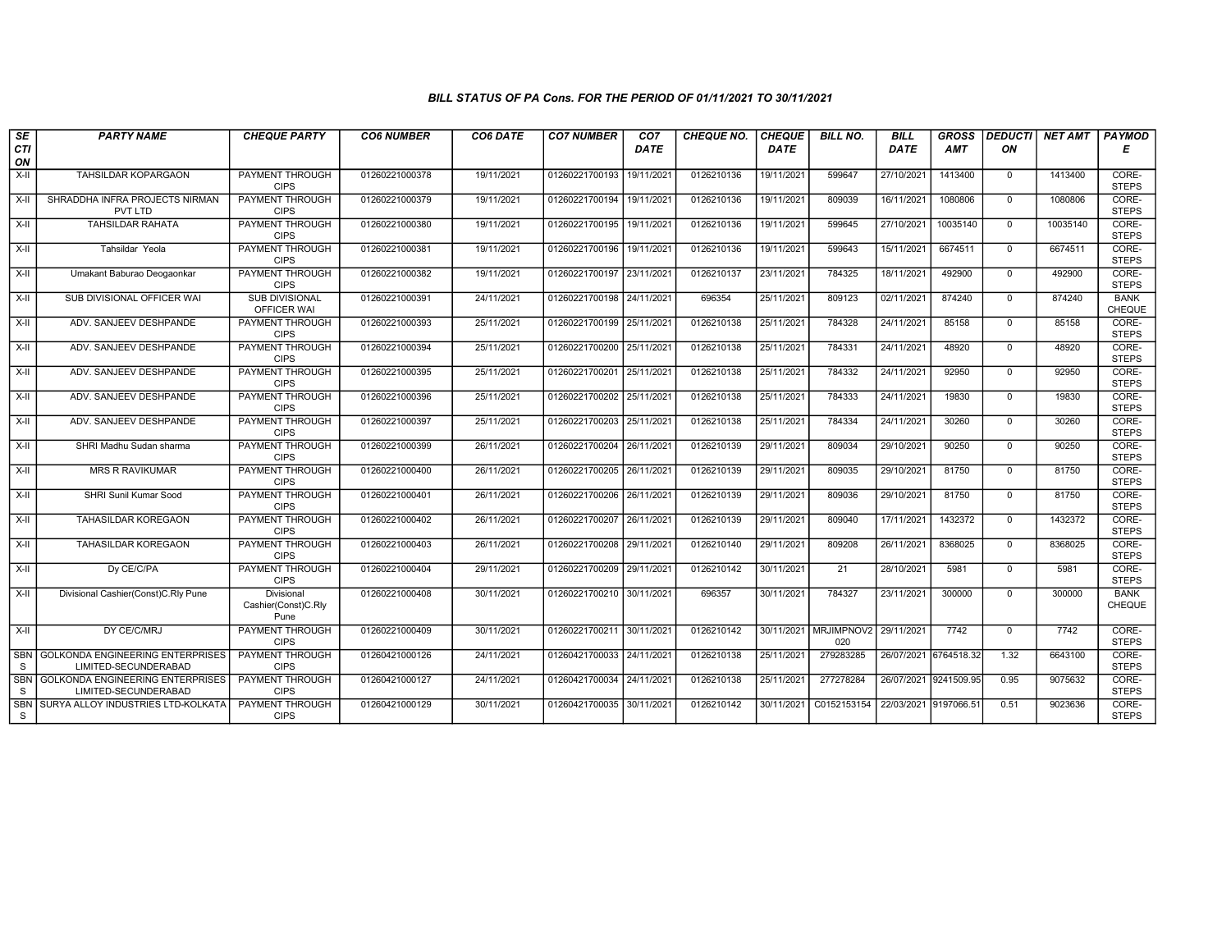## BILL STATUS OF PA Cons. FOR THE PERIOD OF 01/11/2021 TO 30/11/2021

| $\overline{\mathsf{SE}}$ | <b>PARTY NAME</b>                         | <b>CHEQUE PARTY</b>                   | <b>CO6 NUMBER</b> | CO6 DATE   | <b>CO7 NUMBER</b>         | CO <sub>7</sub> | <b>CHEQUE NO.</b> | <b>CHEQUE</b> | <b>BILL NO.</b>              | <b>BILL</b>           | <b>GROSS</b>          | <b>DEDUCTI</b> | NET AMT  | <b>PAYMOD</b>         |
|--------------------------|-------------------------------------------|---------------------------------------|-------------------|------------|---------------------------|-----------------|-------------------|---------------|------------------------------|-----------------------|-----------------------|----------------|----------|-----------------------|
| <b>CTI</b>               |                                           |                                       |                   |            |                           | DATE            |                   | <b>DATE</b>   |                              | DATE                  | <b>AMT</b>            | ON             |          | Е                     |
| ON                       |                                           |                                       |                   |            |                           |                 |                   |               |                              |                       |                       |                |          |                       |
| $X-H$                    | TAHSILDAR KOPARGAON                       | <b>PAYMENT THROUGH</b>                | 01260221000378    | 19/11/2021 | 01260221700193            | 19/11/2021      | 0126210136        | 19/11/2021    | 599647                       | 27/10/2021            | 1413400               | $\mathbf{0}$   | 1413400  | CORE-                 |
|                          |                                           | <b>CIPS</b>                           |                   |            |                           |                 |                   |               |                              |                       |                       |                |          | <b>STEPS</b>          |
| X-II                     | SHRADDHA INFRA PROJECTS NIRMAN<br>PVT LTD | <b>PAYMENT THROUGH</b><br><b>CIPS</b> | 01260221000379    | 19/11/2021 | 01260221700194 19/11/2021 |                 | 0126210136        | 19/11/2021    | 809039                       | 16/11/2021            | 1080806               | $\mathbf{0}$   | 1080806  | CORE-<br><b>STEPS</b> |
| X-II                     | <b>TAHSILDAR RAHATA</b>                   | PAYMENT THROUGH                       | 01260221000380    | 19/11/2021 | 01260221700195 19/11/2021 |                 | 0126210136        | 19/11/2021    | 599645                       | 27/10/2021            | 10035140              | $\mathbf 0$    | 10035140 | CORE-                 |
|                          |                                           | <b>CIPS</b>                           |                   |            |                           |                 |                   |               |                              |                       |                       |                |          | <b>STEPS</b>          |
| X-II                     | Tahsildar Yeola                           | <b>PAYMENT THROUGH</b>                | 01260221000381    | 19/11/2021 | 01260221700196            | 19/11/2021      | 0126210136        | 19/11/2021    | 599643                       | 15/11/2021            | 6674511               | $\mathbf 0$    | 6674511  | CORE-                 |
|                          |                                           | <b>CIPS</b>                           |                   |            |                           |                 |                   |               |                              |                       |                       |                |          | <b>STEPS</b>          |
| X-II                     | Umakant Baburao Deogaonkar                | <b>PAYMENT THROUGH</b>                | 01260221000382    | 19/11/2021 | 01260221700197 23/11/2021 |                 | 0126210137        | 23/11/2021    | 784325                       | 18/11/2021            | 492900                | $\mathbf 0$    | 492900   | CORE-                 |
|                          |                                           | <b>CIPS</b>                           |                   |            |                           |                 |                   |               |                              |                       |                       |                |          | <b>STEPS</b>          |
| X-II                     | SUB DIVISIONAL OFFICER WAI                | <b>SUB DIVISIONAL</b><br>OFFICER WAI  | 01260221000391    | 24/11/2021 | 01260221700198 24/11/2021 |                 | 696354            | 25/11/2021    | 809123                       | 02/11/2021            | 874240                | $\Omega$       | 874240   | <b>BANK</b><br>CHEQUE |
| X-II                     | ADV. SANJEEV DESHPANDE                    | PAYMENT THROUGH                       | 01260221000393    | 25/11/2021 | 01260221700199            | 25/11/2021      | 0126210138        | 25/11/2021    | 784328                       | 24/11/2021            | 85158                 | $\Omega$       | 85158    | CORE-                 |
|                          |                                           | <b>CIPS</b>                           |                   |            |                           |                 |                   |               |                              |                       |                       |                |          | <b>STEPS</b>          |
| $X-H$                    | ADV. SANJEEV DESHPANDE                    | <b>PAYMENT THROUGH</b>                | 01260221000394    | 25/11/2021 | 01260221700200 25/11/2021 |                 | 0126210138        | 25/11/2021    | 784331                       | 24/11/2021            | 48920                 | $\overline{0}$ | 48920    | CORE-                 |
|                          |                                           | <b>CIPS</b>                           |                   |            |                           |                 |                   |               |                              |                       |                       |                |          | <b>STEPS</b>          |
| $X-H$                    | ADV. SANJEEV DESHPANDE                    | <b>PAYMENT THROUGH</b>                | 01260221000395    | 25/11/2021 | 01260221700201            | 25/11/2021      | 0126210138        | 25/11/2021    | 784332                       | 24/11/2021            | 92950                 | $\Omega$       | 92950    | CORE-                 |
| $X-H$                    | ADV. SANJEEV DESHPANDE                    | <b>CIPS</b><br><b>PAYMENT THROUGH</b> | 01260221000396    | 25/11/2021 | 01260221700202 25/11/2021 |                 | 0126210138        | 25/11/2021    | 784333                       | 24/11/2021            | 19830                 | $\Omega$       | 19830    | <b>STEPS</b><br>CORE- |
|                          |                                           | <b>CIPS</b>                           |                   |            |                           |                 |                   |               |                              |                       |                       |                |          | <b>STEPS</b>          |
| X-II                     | ADV. SANJEEV DESHPANDE                    | <b>PAYMENT THROUGH</b>                | 01260221000397    | 25/11/2021 | 01260221700203 25/11/2021 |                 | 0126210138        | 25/11/2021    | 784334                       | 24/11/2021            | 30260                 | $\mathbf 0$    | 30260    | CORE-                 |
|                          |                                           | <b>CIPS</b>                           |                   |            |                           |                 |                   |               |                              |                       |                       |                |          | <b>STEPS</b>          |
| X-II                     | SHRI Madhu Sudan sharma                   | PAYMENT THROUGH                       | 01260221000399    | 26/11/2021 | 01260221700204 26/11/2021 |                 | 0126210139        | 29/11/2021    | 809034                       | 29/10/2021            | 90250                 | $\Omega$       | 90250    | CORE-                 |
| $X-H$                    | <b>MRS R RAVIKUMAR</b>                    | <b>CIPS</b><br>PAYMENT THROUGH        | 01260221000400    | 26/11/2021 | 01260221700205 26/11/2021 |                 | 0126210139        | 29/11/2021    | 809035                       | 29/10/2021            | 81750                 | $\mathbf 0$    | 81750    | <b>STEPS</b><br>CORE- |
|                          |                                           | <b>CIPS</b>                           |                   |            |                           |                 |                   |               |                              |                       |                       |                |          | <b>STEPS</b>          |
| $X-H$                    | SHRI Sunil Kumar Sood                     | <b>PAYMENT THROUGH</b>                | 01260221000401    | 26/11/2021 | 01260221700206 26/11/2021 |                 | 0126210139        | 29/11/2021    | 809036                       | 29/10/2021            | 81750                 | $\mathbf{0}$   | 81750    | CORE-                 |
|                          |                                           | <b>CIPS</b>                           |                   |            |                           |                 |                   |               |                              |                       |                       |                |          | <b>STEPS</b>          |
| X-II                     | TAHASILDAR KOREGAON                       | PAYMENT THROUGH                       | 01260221000402    | 26/11/2021 | 01260221700207 26/11/2021 |                 | 0126210139        | 29/11/2021    | 809040                       | 17/11/2021            | 1432372               | $\mathbf{0}$   | 1432372  | CORE-                 |
|                          |                                           | <b>CIPS</b>                           |                   |            |                           |                 |                   |               |                              |                       |                       |                |          | <b>STEPS</b>          |
| X-II                     | TAHASILDAR KOREGAON                       | PAYMENT THROUGH<br><b>CIPS</b>        | 01260221000403    | 26/11/2021 | 01260221700208            | 29/11/2021      | 0126210140        | 29/11/2021    | 809208                       | 26/11/2021            | 8368025               | $\mathbf 0$    | 8368025  | CORE-<br><b>STEPS</b> |
| $X-H$                    | Dy CE/C/PA                                | <b>PAYMENT THROUGH</b>                | 01260221000404    | 29/11/2021 | 01260221700209 29/11/2021 |                 | 0126210142        | 30/11/2021    | 21                           | 28/10/2021            | 5981                  | $\mathbf 0$    | 5981     | CORE-                 |
|                          |                                           | <b>CIPS</b>                           |                   |            |                           |                 |                   |               |                              |                       |                       |                |          | <b>STEPS</b>          |
| $X-H$                    | Divisional Cashier (Const) C.Rly Pune     | Divisional                            | 01260221000408    | 30/11/2021 | 01260221700210 30/11/2021 |                 | 696357            | 30/11/2021    | 784327                       | 23/11/2021            | 300000                | $\mathbf 0$    | 300000   | <b>BANK</b>           |
|                          |                                           | Cashier(Const)C.Rly                   |                   |            |                           |                 |                   |               |                              |                       |                       |                |          | CHEQUE                |
|                          |                                           | Pune                                  |                   |            |                           |                 |                   |               |                              |                       |                       |                |          |                       |
| $\overline{x}$ -II       | DY CE/C/MRJ                               | PAYMENT THROUGH<br><b>CIPS</b>        | 01260221000409    | 30/11/2021 | 01260221700211            | 30/11/2021      | 0126210142        |               | 30/11/2021 MRJIMPNOV2<br>020 | 29/11/2021            | 7742                  | $\Omega$       | 7742     | CORE-<br><b>STEPS</b> |
| <b>SBN</b>               | <b>GOLKONDA ENGINEERING ENTERPRISES</b>   | <b>PAYMENT THROUGH</b>                | 01260421000126    | 24/11/2021 | 01260421700033 24/11/2021 |                 | 0126210138        | 25/11/2021    | 279283285                    | 26/07/2021 6764518.32 |                       | 1.32           | 6643100  | CORE-                 |
| S                        | LIMITED-SECUNDERABAD                      | <b>CIPS</b>                           |                   |            |                           |                 |                   |               |                              |                       |                       |                |          | <b>STEPS</b>          |
| <b>SBN</b>               | <b>GOLKONDA ENGINEERING ENTERPRISES</b>   | <b>PAYMENT THROUGH</b>                | 01260421000127    | 24/11/2021 | 01260421700034 24/11/2021 |                 | 0126210138        | 25/11/2021    | 277278284                    |                       | 26/07/2021 9241509.95 | 0.95           | 9075632  | CORE-                 |
| <sub>S</sub>             | LIMITED-SECUNDERABAD                      | <b>CIPS</b>                           |                   |            |                           |                 |                   |               |                              |                       |                       |                |          | <b>STEPS</b>          |
| SBN                      | SURYA ALLOY INDUSTRIES LTD-KOLKATA        | PAYMENT THROUGH                       | 01260421000129    | 30/11/2021 | 01260421700035 30/11/2021 |                 | 0126210142        | 30/11/2021    | C0152153154                  | 22/03/2021 9197066.51 |                       | 0.51           | 9023636  | CORE-                 |
| S                        |                                           | <b>CIPS</b>                           |                   |            |                           |                 |                   |               |                              |                       |                       |                |          | <b>STEPS</b>          |